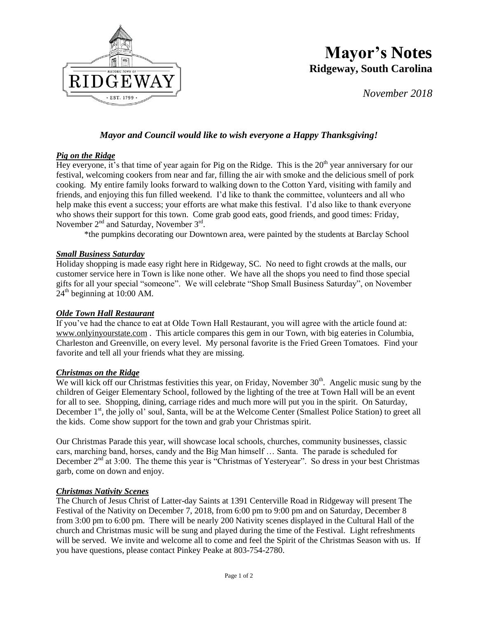

# **Mayor's Notes Ridgeway, South Carolina**

*November 2018*

### *Mayor and Council would like to wish everyone a Happy Thanksgiving!*

#### *Pig on the Ridge*

Hey everyone, it's that time of year again for Pig on the Ridge. This is the  $20<sup>th</sup>$  year anniversary for our festival, welcoming cookers from near and far, filling the air with smoke and the delicious smell of pork cooking. My entire family looks forward to walking down to the Cotton Yard, visiting with family and friends, and enjoying this fun filled weekend. I'd like to thank the committee, volunteers and all who help make this event a success; your efforts are what make this festival. I'd also like to thank everyone who shows their support for this town. Come grab good eats, good friends, and good times: Friday, November  $2<sup>nd</sup>$  and Saturday, November  $3<sup>rd</sup>$ .

\*the pumpkins decorating our Downtown area, were painted by the students at Barclay School

#### *Small Business Saturday*

Holiday shopping is made easy right here in Ridgeway, SC. No need to fight crowds at the malls, our customer service here in Town is like none other. We have all the shops you need to find those special gifts for all your special "someone". We will celebrate "Shop Small Business Saturday", on November  $24<sup>th</sup>$  beginning at 10:00 AM.

#### *Olde Town Hall Restaurant*

If you've had the chance to eat at Olde Town Hall Restaurant, you will agree with the article found at: [www.onlyinyourstate.com](http://www.onlyinyourstate.com/) . This article compares this gem in our Town, with big eateries in Columbia, Charleston and Greenville, on every level. My personal favorite is the Fried Green Tomatoes. Find your favorite and tell all your friends what they are missing.

#### *Christmas on the Ridge*

We will kick off our Christmas festivities this year, on Friday, November  $30<sup>th</sup>$ . Angelic music sung by the children of Geiger Elementary School, followed by the lighting of the tree at Town Hall will be an event for all to see. Shopping, dining, carriage rides and much more will put you in the spirit. On Saturday, December 1<sup>st</sup>, the jolly ol' soul, Santa, will be at the Welcome Center (Smallest Police Station) to greet all the kids. Come show support for the town and grab your Christmas spirit.

Our Christmas Parade this year, will showcase local schools, churches, community businesses, classic cars, marching band, horses, candy and the Big Man himself … Santa. The parade is scheduled for December  $2<sup>nd</sup>$  at 3:00. The theme this year is "Christmas of Yesteryear". So dress in your best Christmas garb, come on down and enjoy.

#### *Christmas Nativity Scenes*

The Church of Jesus Christ of Latter-day Saints at 1391 Centerville Road in Ridgeway will present The Festival of the Nativity on December 7, 2018, from 6:00 pm to 9:00 pm and on Saturday, December 8 from 3:00 pm to 6:00 pm. There will be nearly 200 Nativity scenes displayed in the Cultural Hall of the church and Christmas music will be sung and played during the time of the Festival. Light refreshments will be served. We invite and welcome all to come and feel the Spirit of the Christmas Season with us. If you have questions, please contact Pinkey Peake at 803-754-2780.